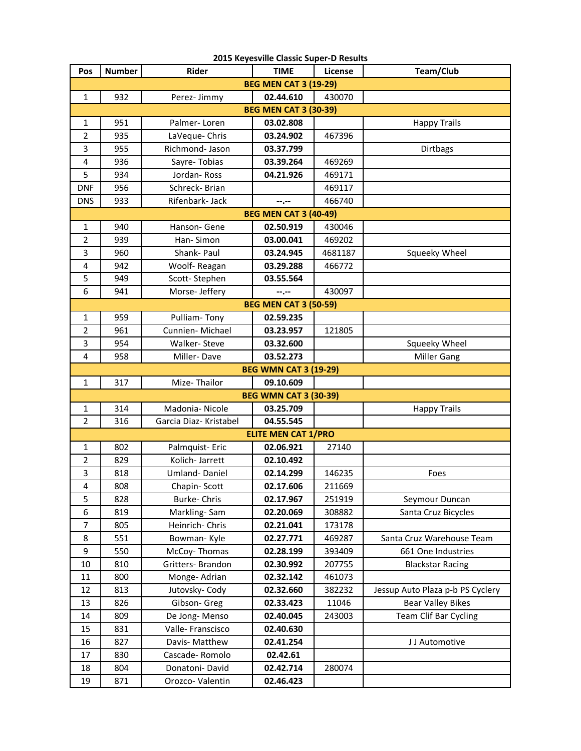| 2015 Keyesville Classic Super-D Results |                              |                        |                              |         |                                  |  |  |  |  |
|-----------------------------------------|------------------------------|------------------------|------------------------------|---------|----------------------------------|--|--|--|--|
| Pos                                     | <b>Number</b>                | <b>Rider</b>           | <b>TIME</b>                  | License | Team/Club                        |  |  |  |  |
| <b>BEG MEN CAT 3 (19-29)</b>            |                              |                        |                              |         |                                  |  |  |  |  |
| 1                                       | 932                          | Perez- Jimmy           | 02.44.610                    | 430070  |                                  |  |  |  |  |
| <b>BEG MEN CAT 3 (30-39)</b>            |                              |                        |                              |         |                                  |  |  |  |  |
| $\mathbf{1}$                            | 951                          | Palmer-Loren           | 03.02.808                    |         | <b>Happy Trails</b>              |  |  |  |  |
| $\overline{2}$                          | 935                          | LaVeque- Chris         | 03.24.902                    | 467396  |                                  |  |  |  |  |
| 3                                       | 955                          | Richmond- Jason        | 03.37.799                    |         | Dirtbags                         |  |  |  |  |
| 4                                       | 936                          | Sayre-Tobias           | 03.39.264                    | 469269  |                                  |  |  |  |  |
| 5                                       | 934                          | Jordan-Ross            | 04.21.926                    | 469171  |                                  |  |  |  |  |
| <b>DNF</b>                              | 956                          | Schreck-Brian          |                              | 469117  |                                  |  |  |  |  |
| <b>DNS</b>                              | 933                          | Rifenbark- Jack        | --.--                        | 466740  |                                  |  |  |  |  |
|                                         | <b>BEG MEN CAT 3 (40-49)</b> |                        |                              |         |                                  |  |  |  |  |
| $\mathbf{1}$                            | 940                          | Hanson- Gene           | 02.50.919                    | 430046  |                                  |  |  |  |  |
| $\overline{2}$                          | 939                          | Han-Simon              | 03.00.041                    | 469202  |                                  |  |  |  |  |
| 3                                       | 960                          | Shank- Paul            | 03.24.945                    | 4681187 | Squeeky Wheel                    |  |  |  |  |
| $\overline{4}$                          | 942                          | Woolf-Reagan           | 03.29.288                    | 466772  |                                  |  |  |  |  |
| 5                                       | 949                          | Scott-Stephen          | 03.55.564                    |         |                                  |  |  |  |  |
| 6                                       | 941                          | Morse- Jeffery         | --.--                        | 430097  |                                  |  |  |  |  |
|                                         |                              |                        | <b>BEG MEN CAT 3 (50-59)</b> |         |                                  |  |  |  |  |
| $\mathbf{1}$                            | 959                          | Pulliam-Tony           | 02.59.235                    |         |                                  |  |  |  |  |
| $\overline{2}$                          | 961                          | Cunnien-Michael        | 03.23.957                    | 121805  |                                  |  |  |  |  |
| 3                                       | 954                          | Walker-Steve           | 03.32.600                    |         | Squeeky Wheel                    |  |  |  |  |
| $\overline{4}$                          | 958                          | Miller-Dave            | 03.52.273                    |         | <b>Miller Gang</b>               |  |  |  |  |
|                                         |                              |                        | <b>BEG WMN CAT 3 (19-29)</b> |         |                                  |  |  |  |  |
| $\mathbf{1}$                            | 317                          | Mize-Thailor           | 09.10.609                    |         |                                  |  |  |  |  |
|                                         |                              |                        | <b>BEG WMN CAT 3 (30-39)</b> |         |                                  |  |  |  |  |
| $\mathbf{1}$                            | 314                          | Madonia-Nicole         | 03.25.709                    |         | <b>Happy Trails</b>              |  |  |  |  |
| $\overline{2}$                          | 316                          | Garcia Diaz- Kristabel | 04.55.545                    |         |                                  |  |  |  |  |
|                                         |                              |                        | <b>ELITE MEN CAT 1/PRO</b>   |         |                                  |  |  |  |  |
| 1                                       | 802                          | Palmquist- Eric        | 02.06.921                    | 27140   |                                  |  |  |  |  |
| $\overline{2}$                          | 829                          | Kolich- Jarrett        | 02.10.492                    |         |                                  |  |  |  |  |
| 3                                       | 818                          | <b>Umland-Daniel</b>   | 02.14.299                    | 146235  | Foes                             |  |  |  |  |
| 4                                       | 808                          | Chapin-Scott           | 02.17.606                    | 211669  |                                  |  |  |  |  |
| 5                                       | 828                          | Burke-Chris            | 02.17.967                    | 251919  | Seymour Duncan                   |  |  |  |  |
| 6                                       | 819                          | Markling-Sam           | 02.20.069                    | 308882  | Santa Cruz Bicycles              |  |  |  |  |
| $\overline{7}$                          | 805                          | Heinrich-Chris         | 02.21.041                    | 173178  |                                  |  |  |  |  |
| 8                                       | 551                          | Bowman-Kyle            | 02.27.771                    | 469287  | Santa Cruz Warehouse Team        |  |  |  |  |
| 9                                       | 550                          | McCoy-Thomas           | 02.28.199                    | 393409  | 661 One Industries               |  |  |  |  |
| 10                                      | 810                          | Gritters- Brandon      | 02.30.992                    | 207755  | <b>Blackstar Racing</b>          |  |  |  |  |
| 11                                      | 800                          | Monge- Adrian          | 02.32.142                    | 461073  |                                  |  |  |  |  |
| 12                                      | 813                          | Jutovsky-Cody          | 02.32.660                    | 382232  | Jessup Auto Plaza p-b PS Cyclery |  |  |  |  |
| 13                                      | 826                          | Gibson- Greg           | 02.33.423                    | 11046   | <b>Bear Valley Bikes</b>         |  |  |  |  |
| 14                                      | 809                          | De Jong-Menso          | 02.40.045                    | 243003  | Team Clif Bar Cycling            |  |  |  |  |
| 15                                      | 831                          | Valle-Franscisco       | 02.40.630                    |         |                                  |  |  |  |  |
| 16                                      | 827                          | Davis- Matthew         | 02.41.254                    |         | J J Automotive                   |  |  |  |  |
| 17                                      | 830                          | Cascade-Romolo         | 02.42.61                     |         |                                  |  |  |  |  |
| 18                                      | 804                          | Donatoni-David         | 02.42.714                    | 280074  |                                  |  |  |  |  |
| 19                                      | 871                          | Orozco-Valentin        | 02.46.423                    |         |                                  |  |  |  |  |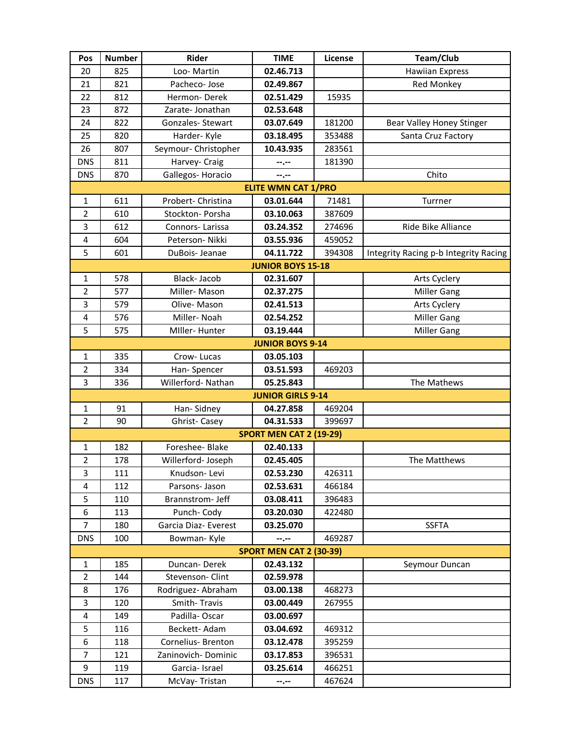| Pos            | <b>Number</b> | Rider                | <b>TIME</b>                                 | License | Team/Club                             |
|----------------|---------------|----------------------|---------------------------------------------|---------|---------------------------------------|
| 20             | 825           | Loo-Martin           | 02.46.713                                   |         | <b>Hawiian Express</b>                |
| 21             | 821           | Pacheco- Jose        | 02.49.867                                   |         | Red Monkey                            |
| 22             | 812           | Hermon-Derek         | 02.51.429                                   | 15935   |                                       |
| 23             | 872           | Zarate-Jonathan      | 02.53.648                                   |         |                                       |
| 24             | 822           | Gonzales-Stewart     | 03.07.649                                   | 181200  | Bear Valley Honey Stinger             |
| 25             | 820           | Harder-Kyle          | 03.18.495                                   | 353488  | Santa Cruz Factory                    |
| 26             | 807           | Seymour- Christopher | 10.43.935                                   | 283561  |                                       |
| <b>DNS</b>     | 811           | Harvey- Craig        | --.--                                       | 181390  |                                       |
| <b>DNS</b>     | 870           | Gallegos-Horacio     | --.--                                       |         | Chito                                 |
|                |               |                      | <b>ELITE WMN CAT 1/PRO</b>                  |         |                                       |
| $\mathbf{1}$   | 611           | Probert- Christina   | 03.01.644                                   | 71481   | Turrner                               |
| $\overline{2}$ | 610           | Stockton- Porsha     | 03.10.063                                   | 387609  |                                       |
| 3              | 612           | Connors-Larissa      | 03.24.352                                   | 274696  | Ride Bike Alliance                    |
| 4              | 604           | Peterson- Nikki      | 03.55.936                                   | 459052  |                                       |
| 5              | 601           | DuBois- Jeanae       | 04.11.722                                   | 394308  | Integrity Racing p-b Integrity Racing |
|                |               |                      | <b>JUNIOR BOYS 15-18</b>                    |         |                                       |
| $\mathbf{1}$   | 578           | Black-Jacob          | 02.31.607                                   |         | Arts Cyclery                          |
| $\overline{2}$ | 577           | Miller-Mason         | 02.37.275                                   |         | <b>Miller Gang</b>                    |
| 3              | 579           | Olive-Mason          | 02.41.513                                   |         | Arts Cyclery                          |
| 4              | 576           | Miller-Noah          | 02.54.252                                   |         | <b>Miller Gang</b>                    |
| 5              | 575           | Miller-Hunter        | 03.19.444                                   |         | <b>Miller Gang</b>                    |
|                |               |                      | <b>JUNIOR BOYS 9-14</b>                     |         |                                       |
| $\mathbf{1}$   | 335           | Crow-Lucas           | 03.05.103                                   |         |                                       |
| $\overline{2}$ | 334           | Han-Spencer          | 03.51.593                                   | 469203  |                                       |
| 3              | 336           | Willerford-Nathan    | 05.25.843                                   |         | The Mathews                           |
|                |               |                      | <b>JUNIOR GIRLS 9-14</b>                    |         |                                       |
| $\mathbf{1}$   | 91            | Han-Sidney           | 04.27.858                                   | 469204  |                                       |
| $\overline{2}$ | 90            | Ghrist-Casey         | 04.31.533<br><b>SPORT MEN CAT 2 (19-29)</b> | 399697  |                                       |
| $\mathbf{1}$   | 182           | Foreshee- Blake      | 02.40.133                                   |         |                                       |
| $\overline{2}$ | 178           | Willerford- Joseph   | 02.45.405                                   |         | The Matthews                          |
| 3              | 111           | Knudson-Levi         | 02.53.230                                   | 426311  |                                       |
| 4              | 112           | Parsons- Jason       | 02.53.631                                   | 466184  |                                       |
| 5              | 110           | Brannstrom- Jeff     | 03.08.411                                   | 396483  |                                       |
| 6              | 113           | Punch-Cody           | 03.20.030                                   | 422480  |                                       |
| $\overline{7}$ | 180           | Garcia Diaz- Everest | 03.25.070                                   |         | <b>SSFTA</b>                          |
| <b>DNS</b>     | 100           | Bowman-Kyle          | --.--                                       | 469287  |                                       |
|                |               |                      | <b>SPORT MEN CAT 2 (30-39)</b>              |         |                                       |
| 1              | 185           | Duncan-Derek         | 02.43.132                                   |         | Seymour Duncan                        |
| $\overline{2}$ | 144           | Stevenson- Clint     | 02.59.978                                   |         |                                       |
| 8              | 176           | Rodriguez- Abraham   | 03.00.138                                   | 468273  |                                       |
| 3              | 120           | Smith-Travis         | 03.00.449                                   | 267955  |                                       |
| 4              | 149           | Padilla-Oscar        | 03.00.697                                   |         |                                       |
| 5              | 116           | Beckett-Adam         | 03.04.692                                   | 469312  |                                       |
| 6              | 118           | Cornelius- Brenton   | 03.12.478                                   | 395259  |                                       |
| 7              | 121           | Zaninovich-Dominic   | 03.17.853                                   | 396531  |                                       |
| 9              | 119           | Garcia-Israel        | 03.25.614                                   | 466251  |                                       |
| <b>DNS</b>     | 117           | McVay-Tristan        | --.--                                       | 467624  |                                       |